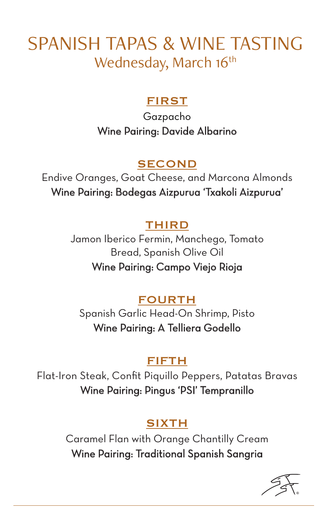# SPANISH TAPAS & WINE TASTING Wednesday, March 16<sup>th</sup>

### FIRST

Gazpacho Wine Pairing: Davide Albarino

### SECOND

Endive Oranges, Goat Cheese, and Marcona Almonds Wine Pairing: Bodegas Aizpurua 'Txakoli Aizpurua'

### THIRD

Jamon Iberico Fermin, Manchego, Tomato Bread, Spanish Olive Oil

Wine Pairing: Campo Viejo Rioja

### FOURTH

Spanish Garlic Head-On Shrimp, Pisto Wine Pairing: A Telliera Godello

# FIFTH

Flat-Iron Steak, Confit Piquillo Peppers, Patatas Bravas Wine Pairing: Pingus 'PSI' Tempranillo

# SIXTH

Caramel Flan with Orange Chantilly Cream Wine Pairing: Traditional Spanish Sangria